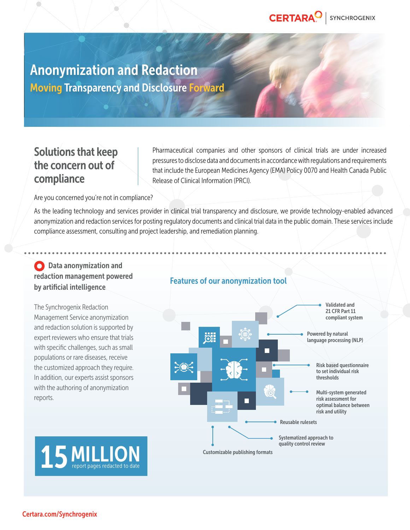

# Anonymization and Redaction Moving Transparency and Disclosure Forward

Ò

## Solutions that keep the concern out of compliance

Pharmaceutical companies and other sponsors of clinical trials are under increased pressures to disclose data and documents in accordance with regulations and requirements that include the European Medicines Agency (EMA) Policy 0070 and Health Canada Public Release of Clinical Information (PRCI).

Are you concerned you're not in compliance?

As the leading technology and services provider in clinical trial transparency and disclosure, we provide technology-enabled advanced anonymization and redaction services for posting regulatory documents and clinical trial data in the public domain. These services include compliance assessment, consulting and project leadership, and remediation planning.

### **O** Data anonymization and redaction management powered by artificial intelligence

The Synchrogenix Redaction Management Service anonymization and redaction solution is supported by expert reviewers who ensure that trials with specific challenges, such as small populations or rare diseases, receive the customized approach they require. In addition, our experts assist sponsors with the authoring of anonymization reports.

### Features of our anonymization tool